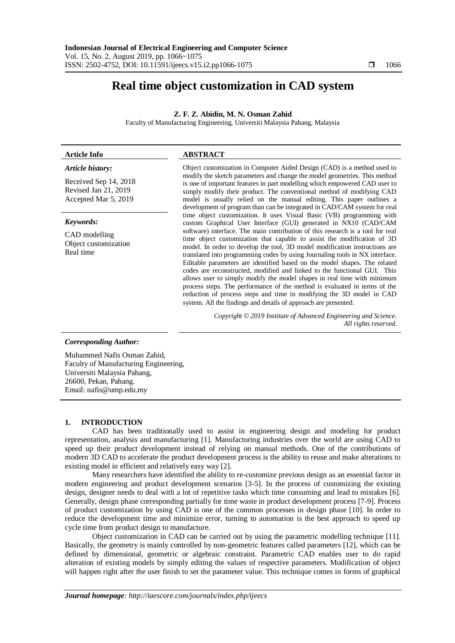# **Real time object customization in CAD system**

# **Z. F. Z. Abidin, M. N. Osman Zahid**

Faculty of Manufacturing Engineering, Universiti Malaysia Pahang, Malaysia

# **Article Info ABSTRACT**

*Article history:*

Received Sep 14, 2018 Revised Jan 21, 2019 Accepted Mar 5, 2019

#### *Keywords:*

CAD modelling Object customization Real time

Object customization in Computer Aided Design (CAD) is a method used to modify the sketch parameters and change the model geometries. This method is one of important features in part modelling which empowered CAD user to simply modify their product. The conventional method of modifying CAD model is usually relied on the manual editing. This paper outlines a development of program than can be integrated in CAD/CAM system for real time object customization. It uses Visual Basic (VB) programming with custom Graphical User Interface (GUI) generated in NX10 (CAD/CAM software) interface. The main contribution of this research is a tool for real time object customization that capable to assist the modification of 3D model. In order to develop the tool, 3D model modification instructions are translated into programming codes by using Journaling tools in NX interface. Editable parameters are identified based on the model shapes. The related codes are reconstructed, modified and linked to the functional GUI. This allows user to simply modify the model shapes in real time with minimum process steps. The performance of the method is evaluated in terms of the reduction of process steps and time in modifying the 3D model in CAD system. All the findings and details of approach are presented.

> *Copyright © 2019 Institute of Advanced Engineering and Science. All rights reserved.*

## *Corresponding Author:*

Muhammed Nafis Osman Zahid, Faculty of Manufacturing Engineering, Universiti Malaysia Pahang, 26600, Pekan, Pahang. Email: nafis@ump.edu.my

#### **1. INTRODUCTION**

CAD has been traditionally used to assist in engineering design and modeling for product representation, analysis and manufacturing [1]. Manufacturing industries over the world are using CAD to speed up their product development instead of relying on manual methods. One of the contributions of modern 3D CAD to accelerate the product development process is the ability to reuse and make alterations to existing model in efficient and relatively easy way [2].

Many researchers have identified the ability to re-customize previous design as an essential factor in modern engineering and product development scenarios [3-5]. In the process of customizing the existing design, designer needs to deal with a lot of repetitive tasks which time consuming and lead to mistakes [6]. Generally, design phase corresponding partially for time waste in product development process [7-9]. Process of product customization by using CAD is one of the common processes in design phase [10]. In order to reduce the development time and minimize error, turning to automation is the best approach to speed up cycle time from product design to manufacture.

Object customization in CAD can be carried out by using the parametric modelling technique [11]. Basically, the geometry is mainly controlled by non-geometric features called parameters [12], which can be defined by dimensional, geometric or algebraic constraint. Parametric CAD enables user to do rapid alteration of existing models by simply editing the values of respective parameters. Modification of object will happen right after the user finish to set the parameter value. This technique comes in forms of graphical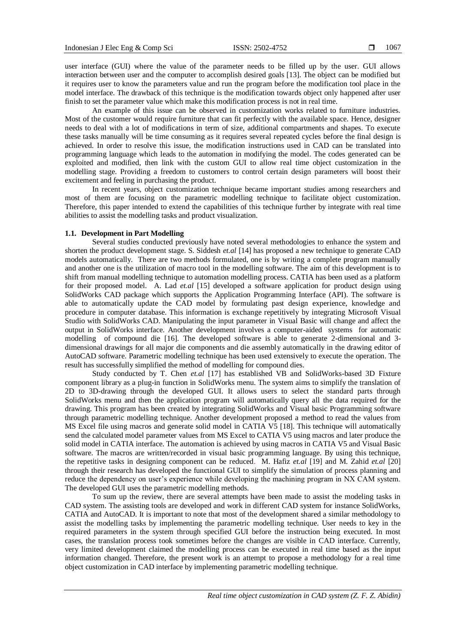user interface (GUI) where the value of the parameter needs to be filled up by the user. GUI allows interaction between user and the computer to accomplish desired goals [13]. The object can be modified but it requires user to know the parameters value and run the program before the modification tool place in the model interface. The drawback of this technique is the modification towards object only happened after user finish to set the parameter value which make this modification process is not in real time.

An example of this issue can be observed in customization works related to furniture industries. Most of the customer would require furniture that can fit perfectly with the available space. Hence, designer needs to deal with a lot of modifications in term of size, additional compartments and shapes. To execute these tasks manually will be time consuming as it requires several repeated cycles before the final design is achieved. In order to resolve this issue, the modification instructions used in CAD can be translated into programming language which leads to the automation in modifying the model. The codes generated can be exploited and modified, then link with the custom GUI to allow real time object customization in the modelling stage. Providing a freedom to customers to control certain design parameters will boost their excitement and feeling in purchasing the product.

In recent years, object customization technique became important studies among researchers and most of them are focusing on the parametric modelling technique to facilitate object customization. Therefore, this paper intended to extend the capabilities of this technique further by integrate with real time abilities to assist the modelling tasks and product visualization.

## **1.1. Development in Part Modelling**

Several studies conducted previously have noted several methodologies to enhance the system and shorten the product development stage. S. Siddesh *et.al* [14] has proposed a new technique to generate CAD models automatically. There are two methods formulated, one is by writing a complete program manually and another one is the utilization of macro tool in the modelling software. The aim of this development is to shift from manual modelling technique to automation modelling process. CATIA has been used as a platform for their proposed model. A. Lad *et.al* [15] developed a software application for product design using SolidWorks CAD package which supports the Application Programming Interface (API). The software is able to automatically update the CAD model by formulating past design experience, knowledge and procedure in computer database. This information is exchange repetitively by integrating Microsoft Visual Studio with SolidWorks CAD. Manipulating the input parameter in Visual Basic will change and affect the output in SolidWorks interface. Another development involves a computer-aided systems for automatic modelling of compound die [16]. The developed software is able to generate 2-dimensional and 3 dimensional drawings for all major die components and die assembly automatically in the drawing editor of AutoCAD software. Parametric modelling technique has been used extensively to execute the operation. The result has successfully simplified the method of modelling for compound dies.

Study conducted by T. Chen *et.al* [17] has established VB and SolidWorks-based 3D Fixture component library as a plug-in function in SolidWorks menu. The system aims to simplify the translation of 2D to 3D-drawing through the developed GUI. It allows users to select the standard parts through SolidWorks menu and then the application program will automatically query all the data required for the drawing. This program has been created by integrating SolidWorks and Visual basic Programming software through parametric modelling technique. Another development proposed a method to read the values from MS Excel file using macros and generate solid model in CATIA V5 [18]. This technique will automatically send the calculated model parameter values from MS Excel to CATIA V5 using macros and later produce the solid model in CATIA interface. The automation is achieved by using macros in CATIA V5 and Visual Basic software. The macros are written/recorded in visual basic programming language. By using this technique, the repetitive tasks in designing component can be reduced. M. Hafiz *et.al* [19] and M. Zahid *et.al* [20] through their research has developed the functional GUI to simplify the simulation of process planning and reduce the dependency on user's experience while developing the machining program in NX CAM system. The developed GUI uses the parametric modelling methods.

To sum up the review, there are several attempts have been made to assist the modeling tasks in CAD system. The assisting tools are developed and work in different CAD system for instance SolidWorks, CATIA and AutoCAD. It is important to note that most of the development shared a similar methodology to assist the modelling tasks by implementing the parametric modelling technique. User needs to key in the required parameters in the system through specified GUI before the instruction being executed. In most cases, the translation process took sometimes before the changes are visible in CAD interface. Currently, very limited development claimed the modelling process can be executed in real time based as the input information changed. Therefore, the present work is an attempt to propose a methodology for a real time object customization in CAD interface by implementing parametric modelling technique.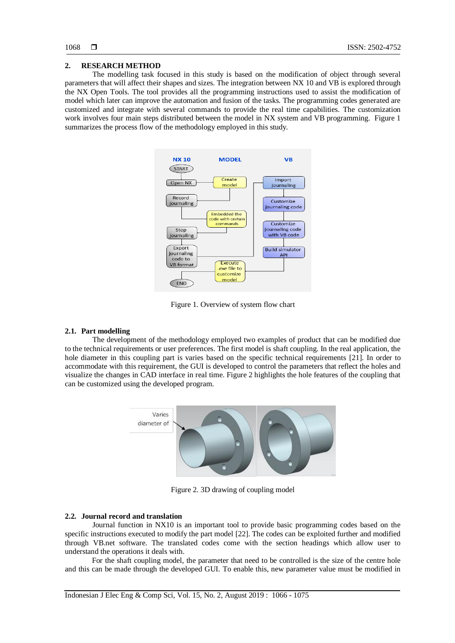#### **2. RESEARCH METHOD**

The modelling task focused in this study is based on the modification of object through several parameters that will affect their shapes and sizes. The integration between NX 10 and VB is explored through the NX Open Tools. The tool provides all the programming instructions used to assist the modification of model which later can improve the automation and fusion of the tasks. The programming codes generated are customized and integrate with several commands to provide the real time capabilities. The customization work involves four main steps distributed between the model in NX system and VB programming. Figure 1 summarizes the process flow of the methodology employed in this study.



Figure 1. Overview of system flow chart

## **2.1. Part modelling**

The development of the methodology employed two examples of product that can be modified due to the technical requirements or user preferences. The first model is shaft coupling. In the real application, the hole diameter in this coupling part is varies based on the specific technical requirements [21]. In order to accommodate with this requirement, the GUI is developed to control the parameters that reflect the holes and visualize the changes in CAD interface in real time. Figure 2 highlights the hole features of the coupling that can be customized using the developed program.



Figure 2. 3D drawing of coupling model

#### **2.2. Journal record and translation**

Journal function in NX10 is an important tool to provide basic programming codes based on the specific instructions executed to modify the part model [22]. The codes can be exploited further and modified through VB.net software. The translated codes come with the section headings which allow user to understand the operations it deals with.

For the shaft coupling model, the parameter that need to be controlled is the size of the centre hole and this can be made through the developed GUI. To enable this, new parameter value must be modified in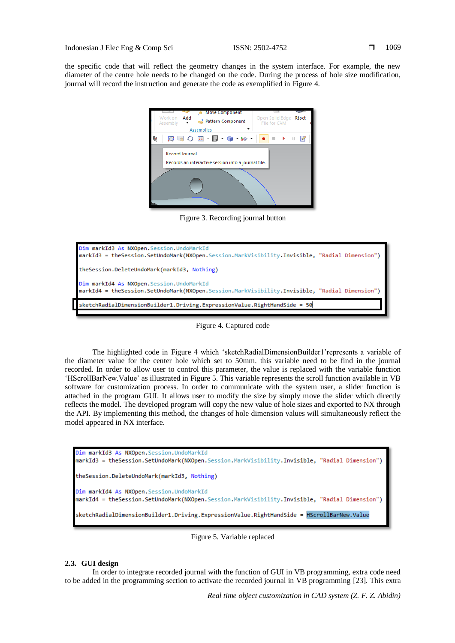the specific code that will reflect the geometry changes in the system interface. For example, the new diameter of the centre hole needs to be changed on the code. During the process of hole size modification, journal will record the instruction and generate the code as exemplified in Figure 4.



Figure 3. Recording journal button



Figure 4. Captured code

The highlighted code in Figure 4 which 'sketchRadialDimensionBuilder1'represents a variable of the diameter value for the center hole which set to 50mm. this variable need to be find in the journal recorded. In order to allow user to control this parameter, the value is replaced with the variable function 'HScrollBarNew.Value' as illustrated in Figure 5. This variable represents the scroll function available in VB software for customization process. In order to communicate with the system user, a slider function is attached in the program GUI. It allows user to modify the size by simply move the slider which directly reflects the model. The developed program will copy the new value of hole sizes and exported to NX through the API. By implementing this method, the changes of hole dimension values will simultaneously reflect the model appeared in NX interface.

```
Dim markId3 As NXOpen. Session. UndoMarkId
markId3 = theSession.SetUndoMark(NXOpen.Session.MarkVisibility.Invisible, "Radial Dimension")
theSession.DeleteUndoMark(markId3, Nothing)
Dim markId4 As NXOpen. Session. UndoMarkId
markId4 = theSession.SetUndoMark(NXOpen.Session.MarkVisibility.Invisible, "Radial Dimension")
sketchRadialDimensionBuilder1.Driving.ExpressionValue.RightHandSide = HScrollBarNew.Value
```
Figure 5. Variable replaced

# **2.3. GUI design**

In order to integrate recorded journal with the function of GUI in VB programming, extra code need to be added in the programming section to activate the recorded journal in VB programming [23]. This extra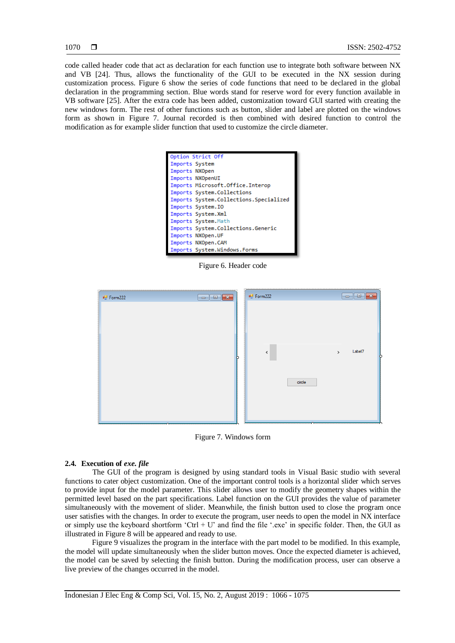code called header code that act as declaration for each function use to integrate both software between NX and VB [24]. Thus, allows the functionality of the GUI to be executed in the NX session during customization process. Figure 6 show the series of code functions that need to be declared in the global declaration in the programming section. Blue words stand for reserve word for every function available in VB software [25]. After the extra code has been added, customization toward GUI started with creating the new windows form. The rest of other functions such as button, slider and label are plotted on the windows form as shown in Figure 7. Journal recorded is then combined with desired function to control the modification as for example slider function that used to customize the circle diameter.

| Option Strict Off                      |  |
|----------------------------------------|--|
| Imports System                         |  |
| Imports NXOpen                         |  |
| Imports NXOpenUI                       |  |
| Imports Microsoft.Office.Interop       |  |
| Imports System.Collections             |  |
| Imports System.Collections.Specialized |  |
| Imports System.IO                      |  |
| Imports System.Xml                     |  |
| Imports System. Math                   |  |
| Imports System.Collections.Generic     |  |
| Imports NXOpen.UF                      |  |
| Imports NXOpen.CAM                     |  |
| Imports System.Windows.Forms           |  |

Figure 6. Header code

| □ Form222 | $\begin{array}{ c c c c }\hline \multicolumn{1}{ c }{\textbf{}} & \multicolumn{1}{ c }{\textbf{}} & \multicolumn{1}{ c }{\textbf{}} & \multicolumn{1}{ c }{\textbf{}} & \multicolumn{1}{ c }{\textbf{}} & \multicolumn{1}{ c }{\textbf{}} & \multicolumn{1}{ c }{\textbf{}} & \multicolumn{1}{ c }{\textbf{}} & \multicolumn{1}{ c }{\textbf{}} & \multicolumn{1}{ c }{\textbf{}} & \multicolumn{1}{ c }{\textbf{}} & \multicolumn{1}{ c }{\textbf{}}$ | □ Form222 |        | $\begin{array}{c c c c c c} \hline \multicolumn{3}{c }{\multicolumn{3}{c }{\multicolumn{3}{c }{\multicolumn{3}{c }{\multicolumn{3}{c }{\multicolumn{3}{c }{\multicolumn{3}{c }{\multicolumn{3}{c }{\multicolumn{3}{c}}}}}}}} \multicolumn{3}{c }{\hline \multicolumn{3}{c }{\multicolumn{3}{c }{\multicolumn{3}{c }{\multicolumn{3}{c }{\multicolumn{3}{c }{\multicolumn{3}{c }{\multicolumn{3}{c }{\multicolumn{3}{c }{\multicolumn{3}{c }{\multicolumn{$ |
|-----------|--------------------------------------------------------------------------------------------------------------------------------------------------------------------------------------------------------------------------------------------------------------------------------------------------------------------------------------------------------------------------------------------------------------------------------------------------------|-----------|--------|------------------------------------------------------------------------------------------------------------------------------------------------------------------------------------------------------------------------------------------------------------------------------------------------------------------------------------------------------------------------------------------------------------------------------------------------------------|
|           |                                                                                                                                                                                                                                                                                                                                                                                                                                                        | $\leq$    | circle | Label7<br>$\,$                                                                                                                                                                                                                                                                                                                                                                                                                                             |

Figure 7. Windows form

# **2.4. Execution of** *exe. file*

The GUI of the program is designed by using standard tools in Visual Basic studio with several functions to cater object customization. One of the important control tools is a horizontal slider which serves to provide input for the model parameter. This slider allows user to modify the geometry shapes within the permitted level based on the part specifications. Label function on the GUI provides the value of parameter simultaneously with the movement of slider. Meanwhile, the finish button used to close the program once user satisfies with the changes. In order to execute the program, user needs to open the model in NX interface or simply use the keyboard shortform 'Ctrl + U' and find the file '.exe' in specific folder. Then, the GUI as illustrated in Figure 8 will be appeared and ready to use.

Figure 9 visualizes the program in the interface with the part model to be modified. In this example, the model will update simultaneously when the slider button moves. Once the expected diameter is achieved, the model can be saved by selecting the finish button. During the modification process, user can observe a live preview of the changes occurred in the model.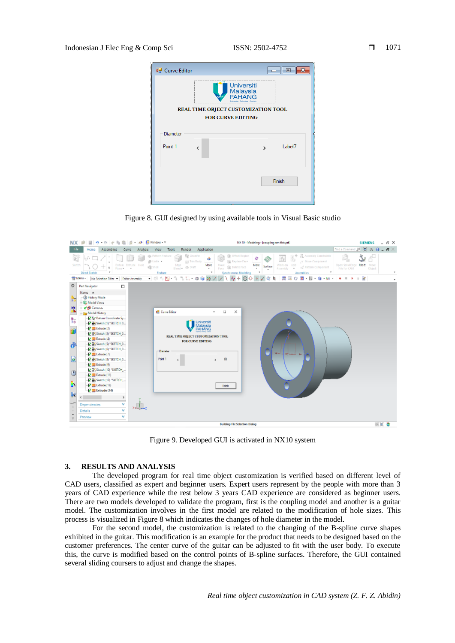

Figure 8. GUI designed by using available tools in Visual Basic studio



Figure 9. Developed GUI is activated in NX10 system

#### **3. RESULTS AND ANALYSIS**

The developed program for real time object customization is verified based on different level of CAD users, classified as expert and beginner users. Expert users represent by the people with more than 3 years of CAD experience while the rest below 3 years CAD experience are considered as beginner users. There are two models developed to validate the program, first is the coupling model and another is a guitar model. The customization involves in the first model are related to the modification of hole sizes. This process is visualized in Figure 8 which indicates the changes of hole diameter in the model.

For the second model, the customization is related to the changing of the B-spline curve shapes exhibited in the guitar. This modification is an example for the product that needs to be designed based on the customer preferences. The center curve of the guitar can be adjusted to fit with the user body. To execute this, the curve is modified based on the control points of B-spline surfaces. Therefore, the GUI contained several sliding coursers to adjust and change the shapes.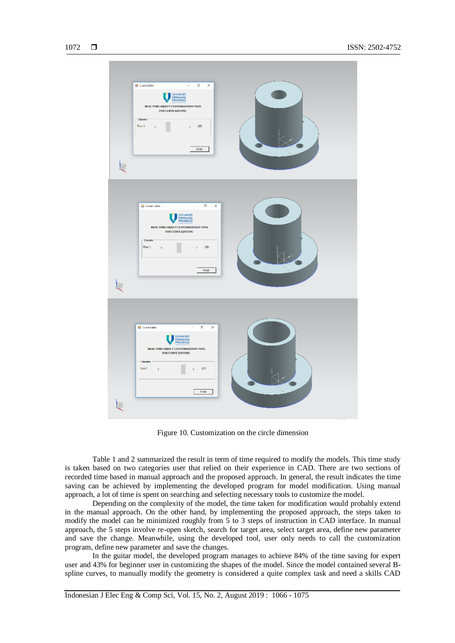

Figure 10. Customization on the circle dimension

Table 1 and 2 summarized the result in term of time required to modify the models. This time study is taken based on two categories user that relied on their experience in CAD. There are two sections of recorded time based in manual approach and the proposed approach. In general, the result indicates the time saving can be achieved by implementing the developed program for model modification. Using manual approach, a lot of time is spent on searching and selecting necessary tools to customize the model.

Depending on the complexity of the model, the time taken for modification would probably extend in the manual approach. On the other hand, by implementing the proposed approach, the steps taken to modify the model can be minimized roughly from 5 to 3 steps of instruction in CAD interface. In manual approach, the 5 steps involve re-open sketch, search for target area, select target area, define new parameter and save the change. Meanwhile, using the developed tool, user only needs to call the customization program, define new parameter and save the changes.

In the guitar model, the developed program manages to achieve 84% of the time saving for expert user and 43% for beginner user in customizing the shapes of the model. Since the model contained several Bspline curves, to manually modify the geometry is considered a quite complex task and need a skills CAD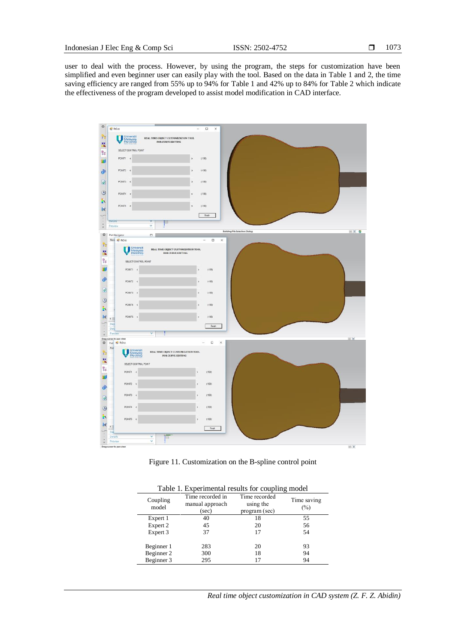user to deal with the process. However, by using the program, the steps for customization have been simplified and even beginner user can easily play with the tool. Based on the data in Table 1 and 2, the time saving efficiency are ranged from 55% up to 94% for Table 1 and 42% up to 84% for Table 2 which indicate the effectiveness of the program developed to assist model modification in CAD interface.



Figure 11. Customization on the B-spline control point

| <b>Table 1. Experimental results for coupling model</b> |                                              |                                             |                       |  |  |
|---------------------------------------------------------|----------------------------------------------|---------------------------------------------|-----------------------|--|--|
| Coupling<br>model                                       | Time recorded in<br>manual approach<br>(sec) | Time recorded<br>using the<br>program (sec) | Time saving<br>$(\%)$ |  |  |
| Expert 1                                                | 40                                           | 18                                          | 55                    |  |  |
| Expert 2                                                | 45                                           | 20                                          | 56                    |  |  |
| Expert 3                                                | 37                                           | 17                                          | 54                    |  |  |
| Beginner 1                                              | 283                                          | 20                                          | 93                    |  |  |
| Beginner 2                                              | 300                                          | 18                                          | 94                    |  |  |
| Beginner 3                                              | 295                                          |                                             | 94                    |  |  |

tal results for coupling model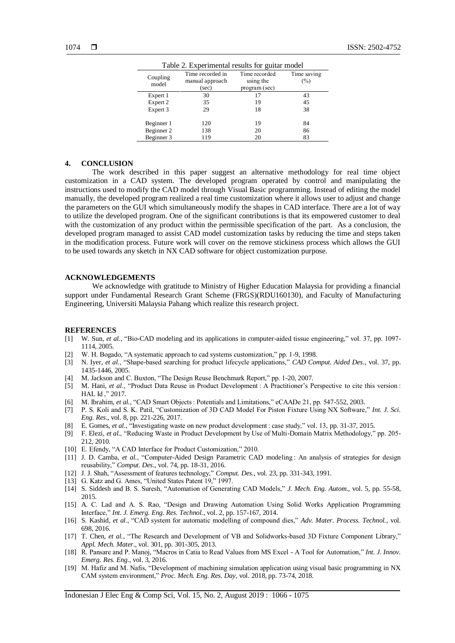| Table 2. Experimental results for guitar model |                                              |                                             |                       |  |  |  |
|------------------------------------------------|----------------------------------------------|---------------------------------------------|-----------------------|--|--|--|
| Coupling<br>model                              | Time recorded in<br>manual approach<br>(sec) | Time recorded<br>using the<br>program (sec) | Time saving<br>$(\%)$ |  |  |  |
| Expert 1                                       | 30                                           | 17                                          | 43                    |  |  |  |
| Expert 2                                       | 35                                           | 19                                          | 45                    |  |  |  |
| Expert 3                                       | 29                                           | 18                                          | 38                    |  |  |  |
| Beginner 1                                     | 120                                          | 19                                          | 84                    |  |  |  |
| Beginner 2                                     | 138                                          | 20                                          | 86                    |  |  |  |
| Beginner 3                                     | 119                                          | 20                                          | 83                    |  |  |  |

#### **4. CONCLUSION**

The work described in this paper suggest an alternative methodology for real time object customization in a CAD system. The developed program operated by control and manipulating the instructions used to modify the CAD model through Visual Basic programming. Instead of editing the model manually, the developed program realized a real time customization where it allows user to adjust and change the parameters on the GUI which simultaneously modify the shapes in CAD interface. There are a lot of way to utilize the developed program. One of the significant contributions is that its empowered customer to deal with the customization of any product within the permissible specification of the part. As a conclusion, the developed program managed to assist CAD model customization tasks by reducing the time and steps taken in the modification process. Future work will cover on the remove stickiness process which allows the GUI to be used towards any sketch in NX CAD software for object customization purpose.

#### **ACKNOWLEDGEMENTS**

We acknowledge with gratitude to Ministry of Higher Education Malaysia for providing a financial support under Fundamental Research Grant Scheme (FRGS)(RDU160130), and Faculty of Manufacturing Engineering, Universiti Malaysia Pahang which realize this research project.

#### **REFERENCES**

- [1] W. Sun, *et al.*, "Bio-CAD modeling and its applications in computer-aided tissue engineering," vol. 37, pp. 1097- 1114, 2005.
- [2] W. H. Bogado, "A systematic approach to cad systems customization," pp. 1-9, 1998.
- [3] N. Iyer, *et al.*, "Shape-based searching for product lifecycle applications," *CAD Comput. Aided Des*., vol. 37, pp. 1435-1446, 2005.
- [4] M. Jackson and C. Buxton, "The Design Reuse Benchmark Report," pp. 1-20, 2007.
- [5] M. Hani, *et al.*, "Product Data Reuse in Product Development : A Practitioner's Perspective to cite this version : HAL Id ," 2017.
- [6] M. Ibrahim, *et al.*, "CAD Smart Objects : Potentials and Limitations," eCAADe 21, pp. 547-552, 2003.
- [7] P. S. Koli and S. K. Patil, "Customization of 3D CAD Model For Piston Fixture Using NX Software," *Int. J. Sci. Eng. Res*., vol. 8, pp. 221-226, 2017.
- [8] E. Gomes, *et al.*, "Investigating waste on new product development : case study," vol. 13, pp. 31-37, 2015.
- [9] F. Elezi, *et al.*, "Reducing Waste in Product Development by Use of Multi-Domain Matrix Methodology," pp. 205- 212, 2010.
- [10] E. Efendy, "A CAD Interface for Product Customization," 2010.
- [11] J. D. Camba, et al., "Computer-Aided Design Parametric CAD modeling : An analysis of strategies for design reusability," *Comput. Des*., vol. 74, pp. 18-31, 2016.
- [12] J. J. Shah, "Assessment of features technology," *Comput. Des*., vol. 23, pp. 331-343, 1991.
- [13] G. Katz and G. Ames, "United States Patent 19," 1997.
- [14] S. Siddesh and B. S. Suresh, "Automation of Generating CAD Models," *J. Mech. Eng. Autom*., vol. 5, pp. 55-58, 2015.
- [15] A. C. Lad and A. S. Rao, "Design and Drawing Automation Using Solid Works Application Programming Interface," *Int. J. Emerg. Eng. Res. Technol.*, vol. 2, pp. 157-167, 2014.
- [16] S. Kashid, *et al*., "CAD system for automatic modelling of compound dies," *Adv. Mater. Process. Technol.*, vol. 698, 2016.
- [17] T. Chen, *et al.*, "The Research and Development of VB and Solidworks-based 3D Fixture Component Library," *Appl. Mech. Mater*., vol. 301, pp. 301-305, 2013.
- [18] R. Pansare and P. Manoj, "Macros in Catia to Read Values from MS Excel A Tool for Automation," *Int. J. Innov. Emerg. Res. Eng*., vol. 3, 2016.
- [19] M. Hafiz and M. Nafis, "Development of machining simulation application using visual basic programming in NX CAM system environment," *Proc. Mech. Eng. Res. Day*, vol. 2018, pp. 73-74, 2018.